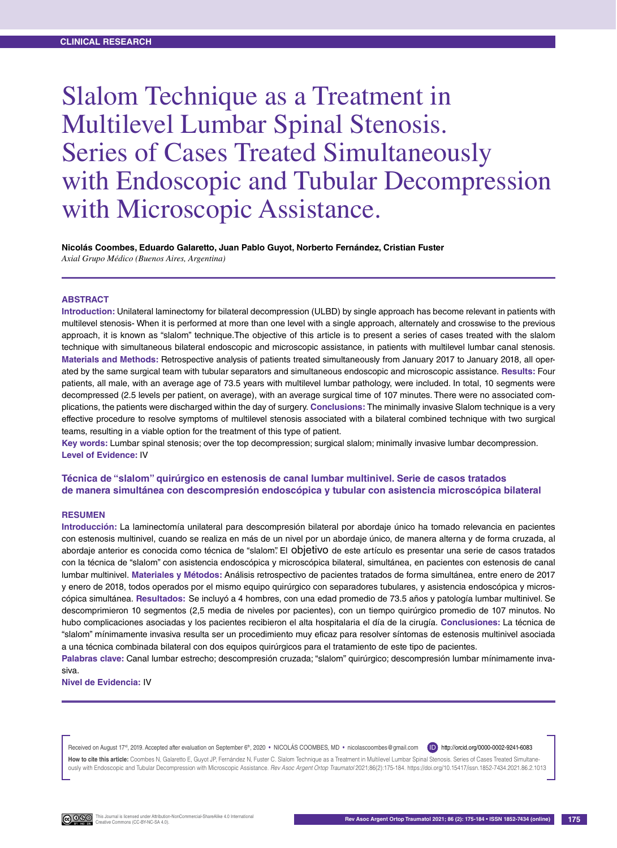# Slalom Technique as a Treatment in Multilevel Lumbar Spinal Stenosis. Series of Cases Treated Simultaneously with Endoscopic and Tubular Decompression with Microscopic Assistance.

# **Nicolás Coombes, Eduardo Galaretto, Juan Pablo Guyot, Norberto Fernández, Cristian Fuster**

*Axial Grupo Médico (Buenos Aires, Argentina)*

#### **Abstract**

**Introduction:** Unilateral laminectomy for bilateral decompression (ULBD) by single approach has become relevant in patients with multilevel stenosis- When it is performed at more than one level with a single approach, alternately and crosswise to the previous approach, it is known as "slalom" technique.The objective of this article is to present a series of cases treated with the slalom technique with simultaneous bilateral endoscopic and microscopic assistance, in patients with multilevel lumbar canal stenosis. **Materials and Methods:** Retrospective analysis of patients treated simultaneously from January 2017 to January 2018, all operated by the same surgical team with tubular separators and simultaneous endoscopic and microscopic assistance. **Results:** Four patients, all male, with an average age of 73.5 years with multilevel lumbar pathology, were included. In total, 10 segments were decompressed (2.5 levels per patient, on average), with an average surgical time of 107 minutes. There were no associated complications, the patients were discharged within the day of surgery. **Conclusions:** The minimally invasive Slalom technique is a very effective procedure to resolve symptoms of multilevel stenosis associated with a bilateral combined technique with two surgical teams, resulting in a viable option for the treatment of this type of patient.

**Key words:** Lumbar spinal stenosis; over the top decompression; surgical slalom; minimally invasive lumbar decompression. **Level of Evidence:** IV

## **Técnica de "slalom" quirúrgico en estenosis de canal lumbar multinivel. Serie de casos tratados de manera simultánea con descompresión endoscópica y tubular con asistencia microscópica bilateral**

#### **Resumen**

**Introducción:** La laminectomía unilateral para descompresión bilateral por abordaje único ha tomado relevancia en pacientes con estenosis multinivel, cuando se realiza en más de un nivel por un abordaje único, de manera alterna y de forma cruzada, al abordaje anterior es conocida como técnica de "slalom". El objetivo de este artículo es presentar una serie de casos tratados con la técnica de "slalom" con asistencia endoscópica y microscópica bilateral, simultánea, en pacientes con estenosis de canal lumbar multinivel. **Materiales y Métodos:** Análisis retrospectivo de pacientes tratados de forma simultánea, entre enero de 2017 y enero de 2018, todos operados por el mismo equipo quirúrgico con separadores tubulares, y asistencia endoscópica y microscópica simultánea. **Resultados:** Se incluyó a 4 hombres, con una edad promedio de 73.5 años y patología lumbar multinivel. Se descomprimieron 10 segmentos (2,5 media de niveles por pacientes), con un tiempo quirúrgico promedio de 107 minutos. No hubo complicaciones asociadas y los pacientes recibieron el alta hospitalaria el día de la cirugía. **Conclusiones:** La técnica de "slalom" mínimamente invasiva resulta ser un procedimiento muy eficaz para resolver síntomas de estenosis multinivel asociada a una técnica combinada bilateral con dos equipos quirúrgicos para el tratamiento de este tipo de pacientes.

**Palabras clave:** Canal lumbar estrecho; descompresión cruzada; "slalom" quirúrgico; descompresión lumbar mínimamente invasiva.

**Nivel de Evidencia:** IV

Received on August 17<sup>d</sup>, 2019. Accepted after evaluation on September 6<sup>th</sup>, 2020 • NICOLAS COOMBES, MD • nicolascoombes@gmail.com (ID) http://orcid.org/0000-0002-9241-6083

How to cite this article: Coombes N, Galaretto E, Guyot JP, Fernández N, Fuster C. Slalom Technique as a Treatment in Multilevel Lumbar Spinal Stenosis. Series of Cases Treated Simultaneously with Endoscopic and Tubular Decompression with Microscopic Assistance. *Rev Asoc Argent Ortop Traumatol* 2021;86(2):175-184. https://doi.org/10.15417/issn.1852-7434.2021.86.2.1013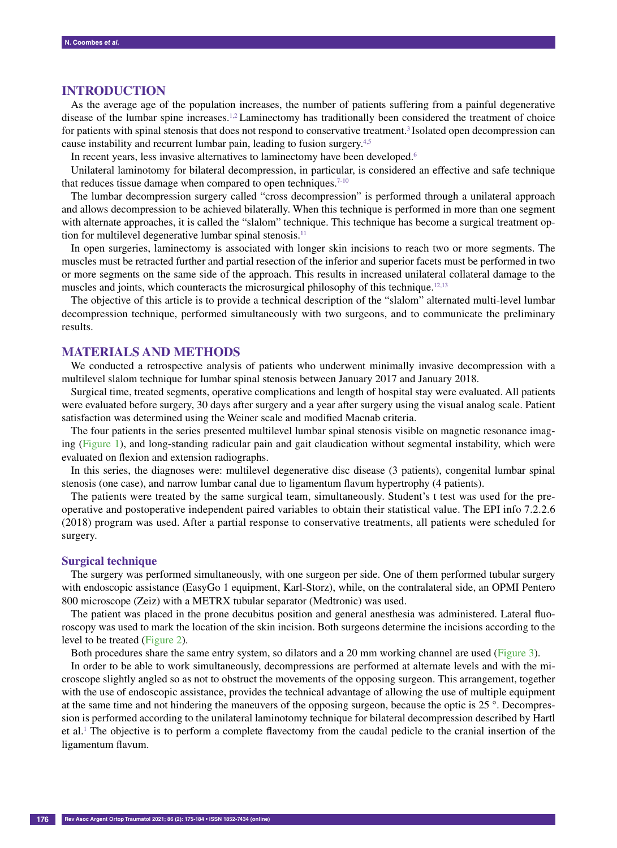## **Introduction**

As the average age of the population increases, the number of patients suffering from a painful degenerative disease of the lumbar spine increases.1,2 Laminectomy has traditionally been considered the treatment of choice for patients with spinal stenosis that does not respond to conservative treatment.<sup>3</sup> Isolated open decompression can cause instability and recurrent lumbar pain, leading to fusion surgery.4,5

In recent years, less invasive alternatives to laminectomy have been developed.<sup>6</sup>

Unilateral laminotomy for bilateral decompression, in particular, is considered an effective and safe technique that reduces tissue damage when compared to open techniques. $7-10$ 

The lumbar decompression surgery called "cross decompression" is performed through a unilateral approach and allows decompression to be achieved bilaterally. When this technique is performed in more than one segment with alternate approaches, it is called the "slalom" technique. This technique has become a surgical treatment option for multilevel degenerative lumbar spinal stenosis.<sup>11</sup>

In open surgeries, laminectomy is associated with longer skin incisions to reach two or more segments. The muscles must be retracted further and partial resection of the inferior and superior facets must be performed in two or more segments on the same side of the approach. This results in increased unilateral collateral damage to the muscles and joints, which counteracts the microsurgical philosophy of this technique.<sup>12,13</sup>

The objective of this article is to provide a technical description of the "slalom" alternated multi-level lumbar decompression technique, performed simultaneously with two surgeons, and to communicate the preliminary results.

## **Materials and methods**

We conducted a retrospective analysis of patients who underwent minimally invasive decompression with a multilevel slalom technique for lumbar spinal stenosis between January 2017 and January 2018.

Surgical time, treated segments, operative complications and length of hospital stay were evaluated. All patients were evaluated before surgery, 30 days after surgery and a year after surgery using the visual analog scale. Patient satisfaction was determined using the Weiner scale and modified Macnab criteria.

The four patients in the series presented multilevel lumbar spinal stenosis visible on magnetic resonance imaging (Figure 1), and long-standing radicular pain and gait claudication without segmental instability, which were evaluated on flexion and extension radiographs.

In this series, the diagnoses were: multilevel degenerative disc disease (3 patients), congenital lumbar spinal stenosis (one case), and narrow lumbar canal due to ligamentum flavum hypertrophy (4 patients).

The patients were treated by the same surgical team, simultaneously. Student's t test was used for the preoperative and postoperative independent paired variables to obtain their statistical value. The EPI info 7.2.2.6 (2018) program was used. After a partial response to conservative treatments, all patients were scheduled for surgery.

#### **Surgical technique**

The surgery was performed simultaneously, with one surgeon per side. One of them performed tubular surgery with endoscopic assistance (EasyGo 1 equipment, Karl-Storz), while, on the contralateral side, an OPMI Pentero 800 microscope (Zeiz) with a METRX tubular separator (Medtronic) was used.

The patient was placed in the prone decubitus position and general anesthesia was administered. Lateral fluoroscopy was used to mark the location of the skin incision. Both surgeons determine the incisions according to the level to be treated (Figure 2).

Both procedures share the same entry system, so dilators and a 20 mm working channel are used (Figure 3).

In order to be able to work simultaneously, decompressions are performed at alternate levels and with the microscope slightly angled so as not to obstruct the movements of the opposing surgeon. This arrangement, together with the use of endoscopic assistance, provides the technical advantage of allowing the use of multiple equipment at the same time and not hindering the maneuvers of the opposing surgeon, because the optic is 25 °. Decompression is performed according to the unilateral laminotomy technique for bilateral decompression described by Hartl et al.1 The objective is to perform a complete flavectomy from the caudal pedicle to the cranial insertion of the ligamentum flavum.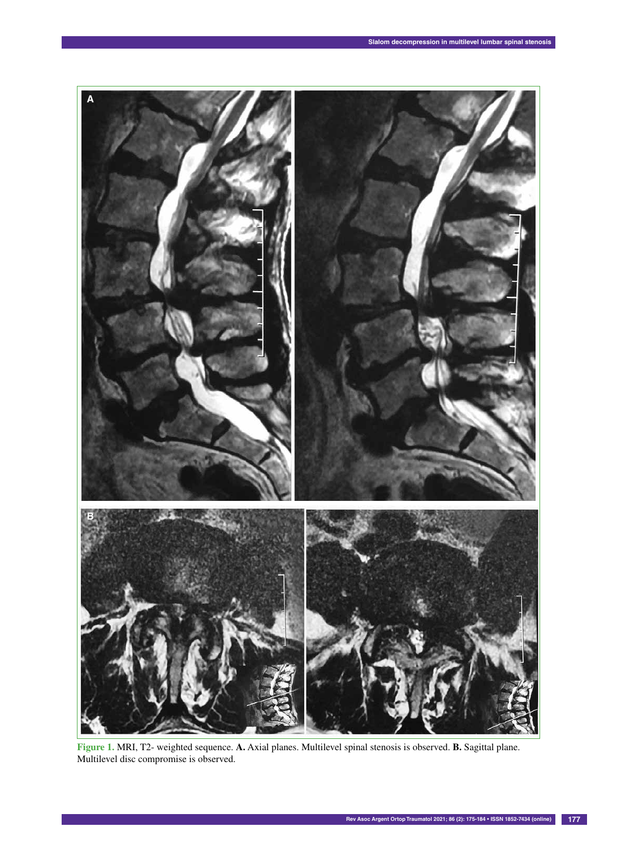

**Figure 1.** MRI, T2- weighted sequence. **A.** Axial planes. Multilevel spinal stenosis is observed. **B.** Sagittal plane. Multilevel disc compromise is observed.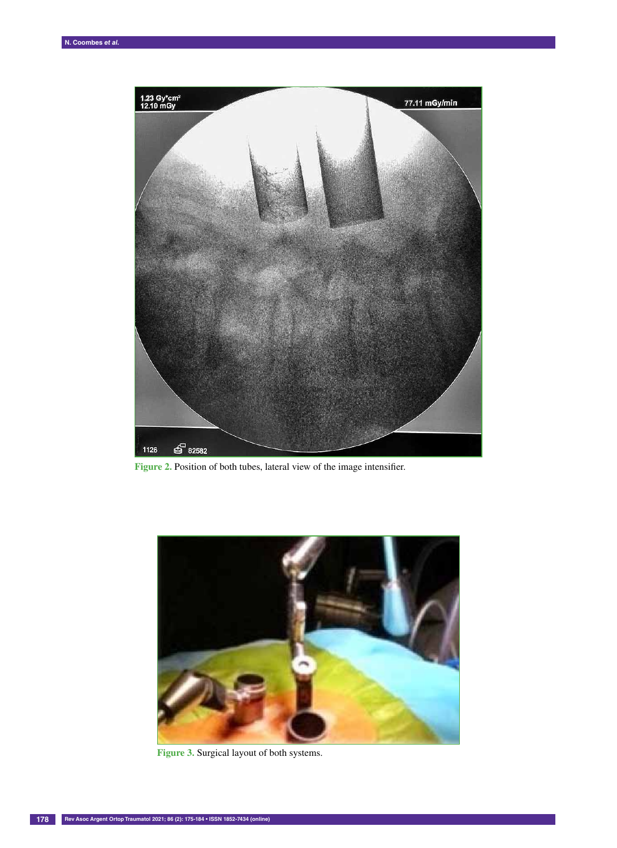

Figure 2. Position of both tubes, lateral view of the image intensifier.



**Figure 3.** Surgical layout of both systems.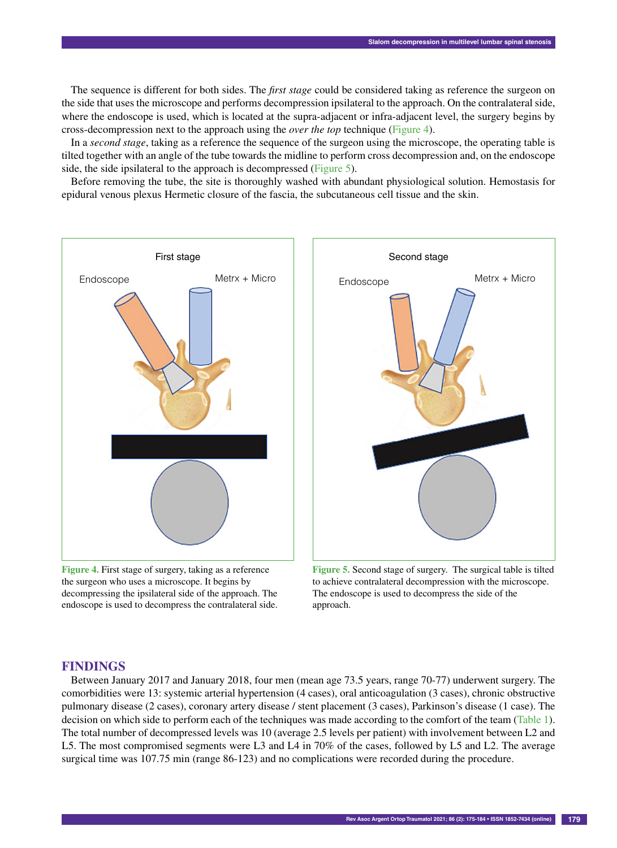The sequence is different for both sides. The *first stage* could be considered taking as reference the surgeon on the side that uses the microscope and performs decompression ipsilateral to the approach. On the contralateral side, where the endoscope is used, which is located at the supra-adjacent or infra-adjacent level, the surgery begins by cross-decompression next to the approach using the *over the top* technique (Figure 4).

In a *second stage*, taking as a reference the sequence of the surgeon using the microscope, the operating table is tilted together with an angle of the tube towards the midline to perform cross decompression and, on the endoscope side, the side ipsilateral to the approach is decompressed (Figure 5).

Before removing the tube, the site is thoroughly washed with abundant physiological solution. Hemostasis for epidural venous plexus Hermetic closure of the fascia, the subcutaneous cell tissue and the skin.



**Figure 4.** First stage of surgery, taking as a reference the surgeon who uses a microscope. It begins by decompressing the ipsilateral side of the approach. The endoscope is used to decompress the contralateral side.



**Figure 5.** Second stage of surgery. The surgical table is tilted to achieve contralateral decompression with the microscope. The endoscope is used to decompress the side of the approach.

## **Findings**

Between January 2017 and January 2018, four men (mean age 73.5 years, range 70-77) underwent surgery. The comorbidities were 13: systemic arterial hypertension (4 cases), oral anticoagulation (3 cases), chronic obstructive pulmonary disease (2 cases), coronary artery disease / stent placement (3 cases), Parkinson's disease (1 case). The decision on which side to perform each of the techniques was made according to the comfort of the team (Table 1). The total number of decompressed levels was 10 (average 2.5 levels per patient) with involvement between L2 and L5. The most compromised segments were L3 and L4 in 70% of the cases, followed by L5 and L2. The average surgical time was 107.75 min (range 86-123) and no complications were recorded during the procedure.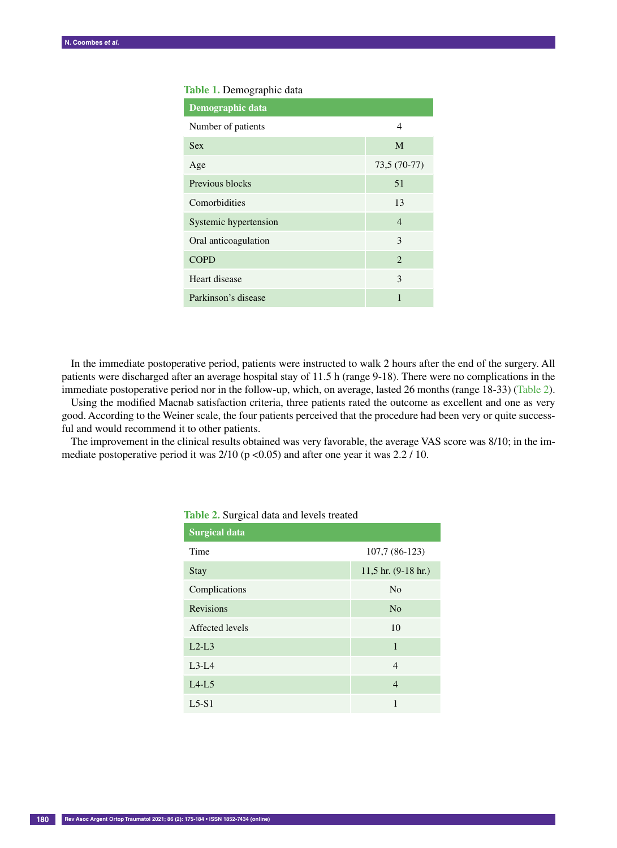#### **Table 1.** Demographic data

| Demographic data      |                |
|-----------------------|----------------|
| Number of patients    | 4              |
| <b>Sex</b>            | M              |
| Age                   | 73,5 (70-77)   |
| Previous blocks       | 51             |
| Comorbidities         | 13             |
| Systemic hypertension | $\overline{4}$ |
| Oral anticoagulation  | 3              |
| <b>COPD</b>           | $\mathfrak{D}$ |
| Heart disease         | $\mathcal{E}$  |
| Parkinson's disease   | 1              |

In the immediate postoperative period, patients were instructed to walk 2 hours after the end of the surgery. All patients were discharged after an average hospital stay of 11.5 h (range 9-18). There were no complications in the immediate postoperative period nor in the follow-up, which, on average, lasted 26 months (range 18-33) (Table 2).

Using the modified Macnab satisfaction criteria, three patients rated the outcome as excellent and one as very good. According to the Weiner scale, the four patients perceived that the procedure had been very or quite successful and would recommend it to other patients.

The improvement in the clinical results obtained was very favorable, the average VAS score was 8/10; in the immediate postoperative period it was  $2/10$  (p <0.05) and after one year it was 2.2 / 10.

| ັ                    |                         |
|----------------------|-------------------------|
| <b>Surgical data</b> |                         |
| Time                 | 107,7 (86-123)          |
| <b>Stay</b>          | $11,5$ hr. $(9-18$ hr.) |
| Complications        | N <sub>o</sub>          |
| <b>Revisions</b>     | N <sub>o</sub>          |
| Affected levels      | 10                      |
| $L2-L3$              | 1                       |
| $L3-L4$              | $\overline{4}$          |
| $L4-L5$              | $\overline{4}$          |
| $L5-S1$              | 1                       |

**Table 2.** Surgical data and levels treated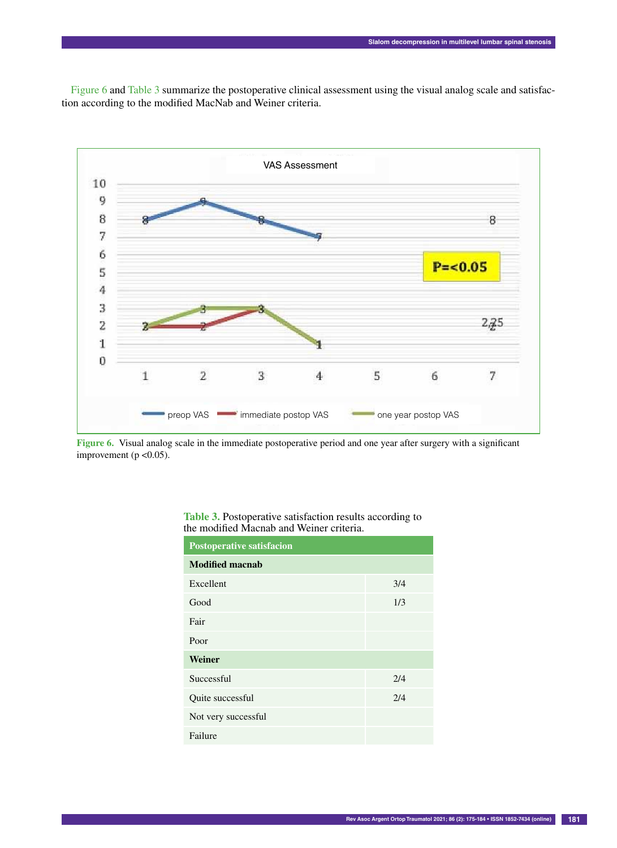Figure 6 and Table 3 summarize the postoperative clinical assessment using the visual analog scale and satisfaction according to the modified MacNab and Weiner criteria.



**Figure 6.** Visual analog scale in the immediate postoperative period and one year after surgery with a significant improvement (p <0.05).

| <b>Postoperative satisfacion</b> |     |
|----------------------------------|-----|
| <b>Modified macnab</b>           |     |
| Excellent                        | 3/4 |
| Good                             | 1/3 |
| Fair                             |     |
| Poor                             |     |
| Weiner                           |     |
| Successful                       | 2/4 |
| Quite successful                 | 2/4 |
| Not very successful              |     |
| Failure                          |     |

| <b>Table 3.</b> Postoperative satisfaction results according to |
|-----------------------------------------------------------------|
| the modified Macnab and Weiner criteria.                        |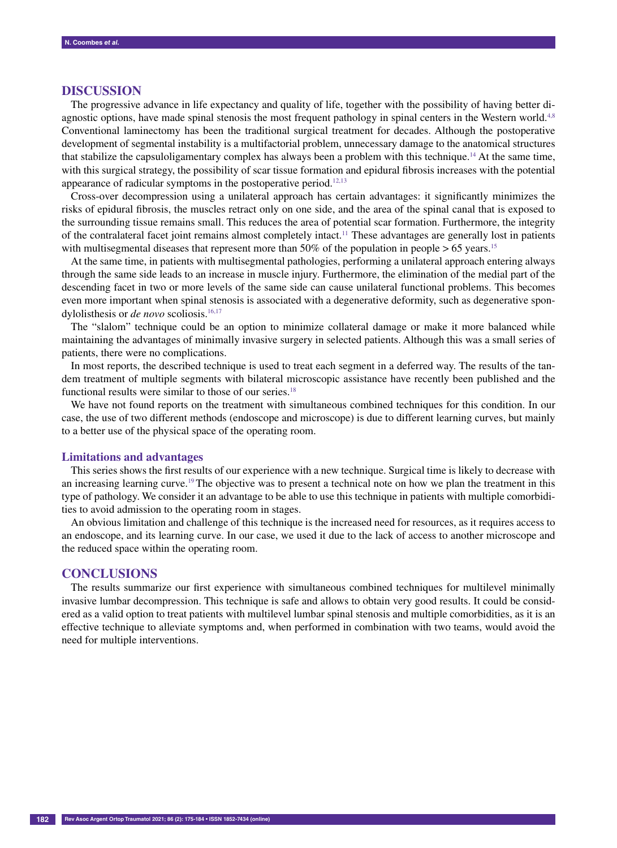## **Discussion**

The progressive advance in life expectancy and quality of life, together with the possibility of having better diagnostic options, have made spinal stenosis the most frequent pathology in spinal centers in the Western world.<sup>4,8</sup> Conventional laminectomy has been the traditional surgical treatment for decades. Although the postoperative development of segmental instability is a multifactorial problem, unnecessary damage to the anatomical structures that stabilize the capsuloligamentary complex has always been a problem with this technique.<sup>14</sup> At the same time, with this surgical strategy, the possibility of scar tissue formation and epidural fibrosis increases with the potential appearance of radicular symptoms in the postoperative period.<sup>12,13</sup>

Cross-over decompression using a unilateral approach has certain advantages: it significantly minimizes the risks of epidural fibrosis, the muscles retract only on one side, and the area of the spinal canal that is exposed to the surrounding tissue remains small. This reduces the area of potential scar formation. Furthermore, the integrity of the contralateral facet joint remains almost completely intact.11 These advantages are generally lost in patients with multisegmental diseases that represent more than 50% of the population in people  $> 65$  years.<sup>15</sup>

At the same time, in patients with multisegmental pathologies, performing a unilateral approach entering always through the same side leads to an increase in muscle injury. Furthermore, the elimination of the medial part of the descending facet in two or more levels of the same side can cause unilateral functional problems. This becomes even more important when spinal stenosis is associated with a degenerative deformity, such as degenerative spondylolisthesis or *de novo* scoliosis.<sup>16,17</sup>

The "slalom" technique could be an option to minimize collateral damage or make it more balanced while maintaining the advantages of minimally invasive surgery in selected patients. Although this was a small series of patients, there were no complications.

In most reports, the described technique is used to treat each segment in a deferred way. The results of the tandem treatment of multiple segments with bilateral microscopic assistance have recently been published and the functional results were similar to those of our series.<sup>18</sup>

We have not found reports on the treatment with simultaneous combined techniques for this condition. In our case, the use of two different methods (endoscope and microscope) is due to different learning curves, but mainly to a better use of the physical space of the operating room.

#### **Limitations and advantages**

This series shows the first results of our experience with a new technique. Surgical time is likely to decrease with an increasing learning curve.19 The objective was to present a technical note on how we plan the treatment in this type of pathology. We consider it an advantage to be able to use this technique in patients with multiple comorbidities to avoid admission to the operating room in stages.

An obvious limitation and challenge of this technique is the increased need for resources, as it requires access to an endoscope, and its learning curve. In our case, we used it due to the lack of access to another microscope and the reduced space within the operating room.

## **Conclusions**

The results summarize our first experience with simultaneous combined techniques for multilevel minimally invasive lumbar decompression. This technique is safe and allows to obtain very good results. It could be considered as a valid option to treat patients with multilevel lumbar spinal stenosis and multiple comorbidities, as it is an effective technique to alleviate symptoms and, when performed in combination with two teams, would avoid the need for multiple interventions.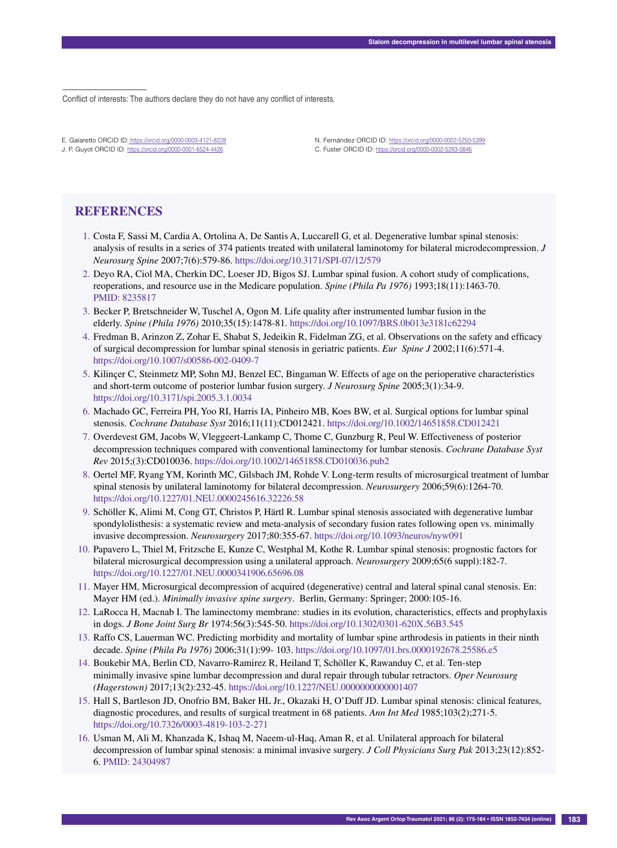Conflict of interests: The authors declare they do not have any conflict of interests.

E. Galaretto ORCID ID: https://orcid.org/0000-0003-4121-8228 J. P. Guyot ORCID ID: https://orcid.org/0000-0001-6524-4426

N. Fernández ORCID ID: https://orcid.org/0000-0002-5250-5399 C. Fuster ORCID ID: https://orcid.org/0000-0002-5293-0846

# **References**

––––––––––––––––––

- 1. Costa F, Sassi M, Cardia A, Ortolina A, De Santis A, Luccarell G, et al. Degenerative lumbar spinal stenosis: analysis of results in a series of 374 patients treated with unilateral laminotomy for bilateral microdecompression. *J Neurosurg Spine* 2007;7(6):579-86. https://doi.org/10.3171/SPI-07/12/579
- 2. Deyo RA, Ciol MA, Cherkin DC, Loeser JD, Bigos SJ. Lumbar spinal fusion. A cohort study of complications, reoperations, and resource use in the Medicare population. *Spine (Phila Pa 1976)* 1993;18(11):1463-70. PMID: 8235817
- 3. Becker P, Bretschneider W, Tuschel A, Ogon M. Life quality after instrumented lumbar fusion in the elderly. *Spine (Phila 1976)* 2010;35(15):1478-81. https://doi.org/10.1097/BRS.0b013e3181c62294
- 4. Fredman B, Arinzon Z, Zohar E, Shabat S, Jedeikin R, Fidelman ZG, et al. Observations on the safety and efficacy of surgical decompression for lumbar spinal stenosis in geriatric patients. *Eur Spine J* 2002;11(6):571-4. https://doi.org/10.1007/s00586-002-0409-7
- 5. Kilinçer C, Steinmetz MP, Sohn MJ, Benzel EC, Bingaman W. Effects of age on the perioperative characteristics and short-term outcome of posterior lumbar fusion surgery. *J Neurosurg Spine* 2005;3(1):34-9. https://doi.org/10.3171/spi.2005.3.1.0034
- 6. Machado GC, Ferreira PH, Yoo RI, Harris IA, Pinheiro MB, Koes BW, et al. Surgical options for lumbar spinal stenosis. *Cochrane Database Syst* 2016;11(11):CD012421. https://doi.org/10.1002/14651858.CD012421
- 7. Overdevest GM, Jacobs W, Vleggeert-Lankamp C, Thome C, Gunzburg R, Peul W. Effectiveness of posterior decompression techniques compared with conventional laminectomy for lumbar stenosis. *Cochrane Database Syst Rev* 2015;(3):CD010036. https://doi.org/10.1002/14651858.CD010036.pub2
- 8. Oertel MF, Ryang YM, Korinth MC, Gilsbach JM, Rohde V. Long-term results of microsurgical treatment of lumbar spinal stenosis by unilateral laminotomy for bilateral decompression. *Neurosurgery* 2006;59(6):1264-70. https://doi.org/10.1227/01.NEU.0000245616.32226.58
- 9. Schöller K, Alimi M, Cong GT, Christos P, Härtl R. Lumbar spinal stenosis associated with degenerative lumbar spondylolisthesis: a systematic review and meta-analysis of secondary fusion rates following open vs. minimally invasive decompression. *Neurosurgery* 2017;80:355-67. https://doi.org/10.1093/neuros/nyw091
- 10. Papavero L, Thiel M, Fritzsche E, Kunze C, Westphal M, Kothe R. Lumbar spinal stenosis: prognostic factors for bilateral microsurgical decompression using a unilateral approach. *Neurosurgery* 2009;65(6 suppl):182-7. https://doi.org/10.1227/01.NEU.0000341906.65696.08
- 11. Mayer HM, Microsurgical decompression of acquired (degenerative) central and lateral spinal canal stenosis. En: Mayer HM (ed.). *Minimally invasive spine surgery*. Berlin, Germany: Springer; 2000:105-16.
- 12. LaRocca H, Macnab I. The laminectomy membrane: studies in its evolution, characteristics, effects and prophylaxis in dogs. *J Bone Joint Surg Br* 1974:56(3):545-50. https://doi.org/10.1302/0301-620X.56B3.545
- 13. Raffo CS, Lauerman WC. Predicting morbidity and mortality of lumbar spine arthrodesis in patients in their ninth decade. *Spine (Phila Pa 1976)* 2006;31(1):99- 103. https://doi.org/10.1097/01.brs.0000192678.25586.e5
- 14. Boukebir MA, Berlin CD, Navarro-Ramirez R, Heiland T, Schöller K, Rawanduy C, et al. Ten-step minimally invasive spine lumbar decompression and dural repair through tubular retractors. *Oper Neurosurg (Hagerstown)* 2017;13(2):232-45. https://doi.org/10.1227/NEU.0000000000001407
- 15. Hall S, Bartleson JD, Onofrio BM, Baker HL Jr., Okazaki H, O'Duff JD. Lumbar spinal stenosis: clinical features, diagnostic procedures, and results of surgical treatment in 68 patients. *Ann Int Med* 1985;103(2);271-5. https://doi.org/10.7326/0003-4819-103-2-271
- 16. Usman M, Ali M, Khanzada K, Ishaq M, Naeem-ul-Haq, Aman R, et al. Unilateral approach for bilateral decompression of lumbar spinal stenosis: a minimal invasive surgery. *J Coll Physicians Surg Pak* 2013;23(12):852- 6. PMID: 24304987